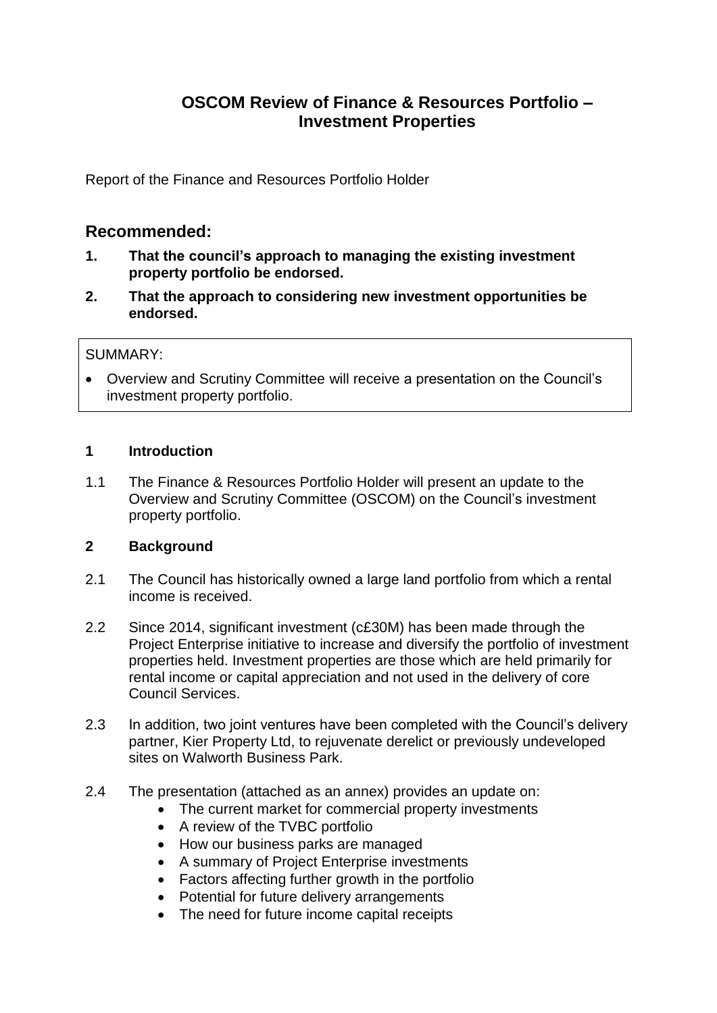# **OSCOM Review of Finance & Resources Portfolio – Investment Properties**

Report of the Finance and Resources Portfolio Holder

## **Recommended:**

- **1. That the council's approach to managing the existing investment property portfolio be endorsed.**
- **2. That the approach to considering new investment opportunities be endorsed.**

#### SUMMARY:

 Overview and Scrutiny Committee will receive a presentation on the Council's investment property portfolio.

#### **1 Introduction**

1.1 The Finance & Resources Portfolio Holder will present an update to the Overview and Scrutiny Committee (OSCOM) on the Council's investment property portfolio.

## **2 Background**

- 2.1 The Council has historically owned a large land portfolio from which a rental income is received.
- 2.2 Since 2014, significant investment (c£30M) has been made through the Project Enterprise initiative to increase and diversify the portfolio of investment properties held. Investment properties are those which are held primarily for rental income or capital appreciation and not used in the delivery of core Council Services.
- 2.3 In addition, two joint ventures have been completed with the Council's delivery partner, Kier Property Ltd, to rejuvenate derelict or previously undeveloped sites on Walworth Business Park.
- 2.4 The presentation (attached as an annex) provides an update on:
	- The current market for commercial property investments
	- A review of the TVBC portfolio
	- How our business parks are managed
	- A summary of Project Enterprise investments
	- Factors affecting further growth in the portfolio
	- Potential for future delivery arrangements
	- The need for future income capital receipts